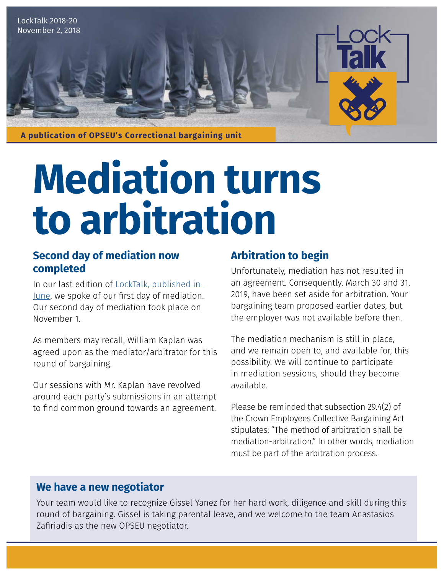

# **Mediation turns to arbitration**

#### **Second day of mediation now completed**

In our last edition of [LockTalk, published in](https://opseu.org/news/locktalk-19-bargaining-goes-mediationarbitration)  [June](https://opseu.org/news/locktalk-19-bargaining-goes-mediationarbitration), we spoke of our first day of mediation. Our second day of mediation took place on November 1.

As members may recall, William Kaplan was agreed upon as the mediator/arbitrator for this round of bargaining.

Our sessions with Mr. Kaplan have revolved around each party's submissions in an attempt to find common ground towards an agreement.

## **Arbitration to begin**

Unfortunately, mediation has not resulted in an agreement. Consequently, March 30 and 31, 2019, have been set aside for arbitration. Your bargaining team proposed earlier dates, but the employer was not available before then.

The mediation mechanism is still in place, and we remain open to, and available for, this possibility. We will continue to participate in mediation sessions, should they become available.

Please be reminded that subsection 29.4(2) of the Crown Employees Collective Bargaining Act stipulates: "The method of arbitration shall be mediation-arbitration." In other words, mediation must be part of the arbitration process.

### **We have a new negotiator**

Your team would like to recognize Gissel Yanez for her hard work, diligence and skill during this round of bargaining. Gissel is taking parental leave, and we welcome to the team Anastasios Zafiriadis as the new OPSEU negotiator.